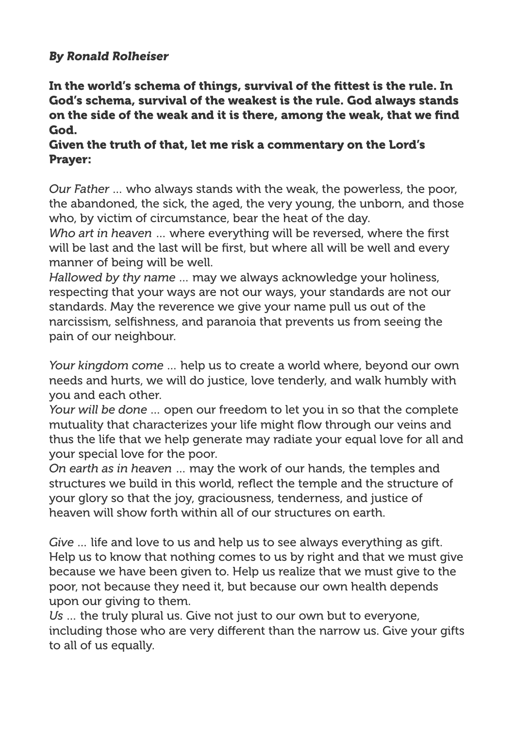## *By Ronald Rolheiser*

In the world's schema of things, survival of the fittest is the rule. In God's schema, survival of the weakest is the rule. God always stands on the side of the weak and it is there, among the weak, that we find God.

## Given the truth of that, let me risk a commentary on the Lord's Prayer:

*Our Father* … who always stands with the weak, the powerless, the poor, the abandoned, the sick, the aged, the very young, the unborn, and those who, by victim of circumstance, bear the heat of the day.

*Who art in heaven* … where everything will be reversed, where the first will be last and the last will be first, but where all will be well and every manner of being will be well.

*Hallowed by thy name* … may we always acknowledge your holiness, respecting that your ways are not our ways, your standards are not our standards. May the reverence we give your name pull us out of the narcissism, selfishness, and paranoia that prevents us from seeing the pain of our neighbour.

*Your kingdom come* … help us to create a world where, beyond our own needs and hurts, we will do justice, love tenderly, and walk humbly with you and each other.

*Your will be done* … open our freedom to let you in so that the complete mutuality that characterizes your life might flow through our veins and thus the life that we help generate may radiate your equal love for all and your special love for the poor.

*On earth as in heaven* … may the work of our hands, the temples and structures we build in this world, reflect the temple and the structure of your glory so that the joy, graciousness, tenderness, and justice of heaven will show forth within all of our structures on earth.

*Give* … life and love to us and help us to see always everything as gift. Help us to know that nothing comes to us by right and that we must give because we have been given to. Help us realize that we must give to the poor, not because they need it, but because our own health depends upon our giving to them.

*Us* … the truly plural us. Give not just to our own but to everyone, including those who are very different than the narrow us. Give your gifts to all of us equally.